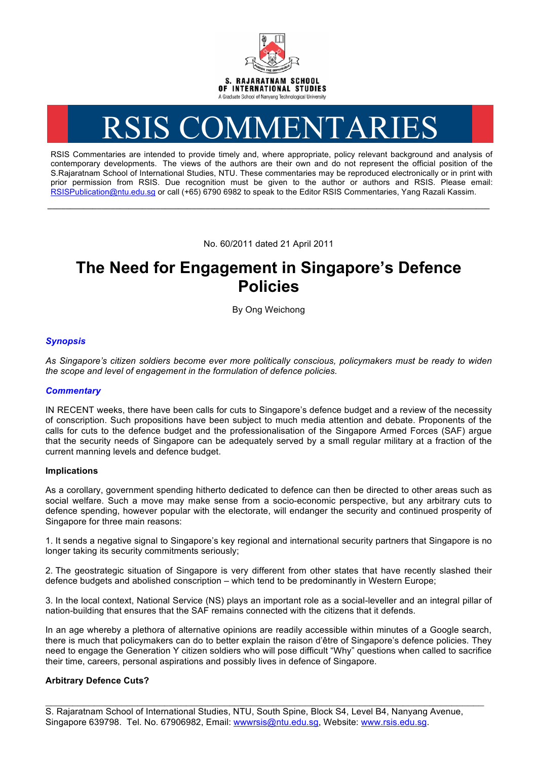

# RSIS COMMENTARIES

RSIS Commentaries are intended to provide timely and, where appropriate, policy relevant background and analysis of contemporary developments. The views of the authors are their own and do not represent the official position of the S.Rajaratnam School of International Studies, NTU. These commentaries may be reproduced electronically or in print with prior permission from RSIS. Due recognition must be given to the author or authors and RSIS. Please email: RSISPublication@ntu.edu.sg or call (+65) 6790 6982 to speak to the Editor RSIS Commentaries, Yang Razali Kassim.

No. 60/2011 dated 21 April 2011

**\_\_\_\_\_\_\_\_\_\_\_\_\_\_\_\_\_\_\_\_\_\_\_\_\_\_\_\_\_\_\_\_\_\_\_\_\_\_\_\_\_\_\_\_\_\_\_\_\_\_\_\_\_\_\_\_\_\_\_\_\_\_\_\_\_\_\_\_\_\_\_\_\_\_\_\_\_\_\_\_\_\_\_\_\_\_\_\_\_\_\_\_\_\_\_\_\_\_**

# **The Need for Engagement in Singapore's Defence Policies**

By Ong Weichong

# *Synopsis*

*As Singapore's citizen soldiers become ever more politically conscious, policymakers must be ready to widen the scope and level of engagement in the formulation of defence policies.*

# *Commentary*

IN RECENT weeks, there have been calls for cuts to Singapore's defence budget and a review of the necessity of conscription. Such propositions have been subject to much media attention and debate. Proponents of the calls for cuts to the defence budget and the professionalisation of the Singapore Armed Forces (SAF) argue that the security needs of Singapore can be adequately served by a small regular military at a fraction of the current manning levels and defence budget.

#### **Implications**

As a corollary, government spending hitherto dedicated to defence can then be directed to other areas such as social welfare. Such a move may make sense from a socio-economic perspective, but any arbitrary cuts to defence spending, however popular with the electorate, will endanger the security and continued prosperity of Singapore for three main reasons:

1. It sends a negative signal to Singapore's key regional and international security partners that Singapore is no longer taking its security commitments seriously;

2. The geostrategic situation of Singapore is very different from other states that have recently slashed their defence budgets and abolished conscription – which tend to be predominantly in Western Europe;

3. In the local context, National Service (NS) plays an important role as a social-leveller and an integral pillar of nation-building that ensures that the SAF remains connected with the citizens that it defends.

In an age whereby a plethora of alternative opinions are readily accessible within minutes of a Google search, there is much that policymakers can do to better explain the raison d'être of Singapore's defence policies. They need to engage the Generation Y citizen soldiers who will pose difficult "Why" questions when called to sacrifice their time, careers, personal aspirations and possibly lives in defence of Singapore.

# **Arbitrary Defence Cuts?**